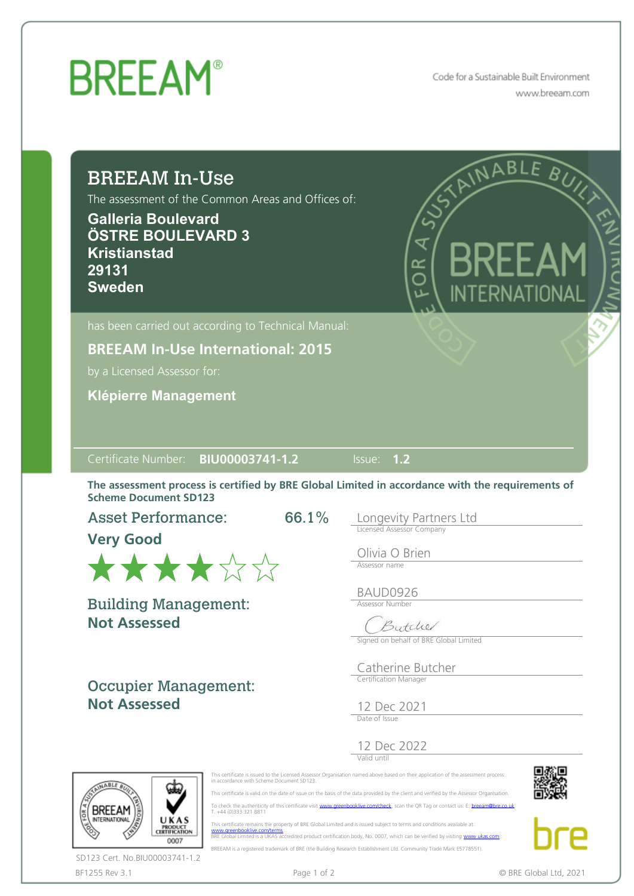## **BREEAM®**

Code for a Sustainable Built Environment www.breeam.com

### BREEAM In-Use

The assessment of the Common Areas and Offices of:

**Galleria Boulevard ÖSTRE BOULEVARD 3 Kristianstad 29131 Sweden**



**BREEAM In-Use International: 2015**

by a Licensed Assessor for:

**Klépierre Management**

#### Certificate Number: **BIU00003741-1.2** Issue: **1.2**

The assessment process is certified by BRE Global Limited in accordance with the requirements of Scheme Document SD123

66.1%

Asset Performance:

**Very Good**



**Not Assessed** Building Management:

Occupier Management: **Not Assessed**

Longevity Partners Ltd Licensed Assessor Company

Olivia O Brien Assessor name

BAUD0926 Assessor Number

Butchel

Signed on behalf of BRE Global Limited

Catherine Butcher Certification Manager

12 Dec 2021 Date of Issue

12 Dec 2022 Valid until

This certificate is issued to the Licensed Assessor Organisation named above based on their application of the assessment process::<br>in accordance with Scheme Document SD123.

 This certificate is valid on the date of issue on the basis of the data provided by the client and verified by the Assessor Organisation. To check the authenticity of this certificate visit [www.greenbooklive.com/check](http://www.greenbooklive.com/check), scan the QR Tag or contact us: E: [breeam@bre.co.uk](mailto:breeam@bre.co.uk)<br>T. +44 (0)333 321 8811

 This certificate remains the property of BRE Global Limited and is issued subject to terms and conditions available at [www.greenbooklive.com/terms](http://www.greenbooklive.com/terms)¤<br>BRE Global Limited is a UKAS accredited product certification body, No. 0007, which can be verified by visiting:<u>[www.ukas.com](http://www.ukas.com/)</u>= BREEAM is a registered trademark of BRE (the Building Research Establishment Ltd. Community Trade Mark E5778551).





**BREEAM** TERNATIONAL UKAS **PRODUCT**<br>CERTIFICATION 0007

BF1255 Rev 3.1 **Page 1 of 2** Page 1 of 2 © BRE Global Ltd, 2021 SD123 Cert. No.BIU00003741-1.2